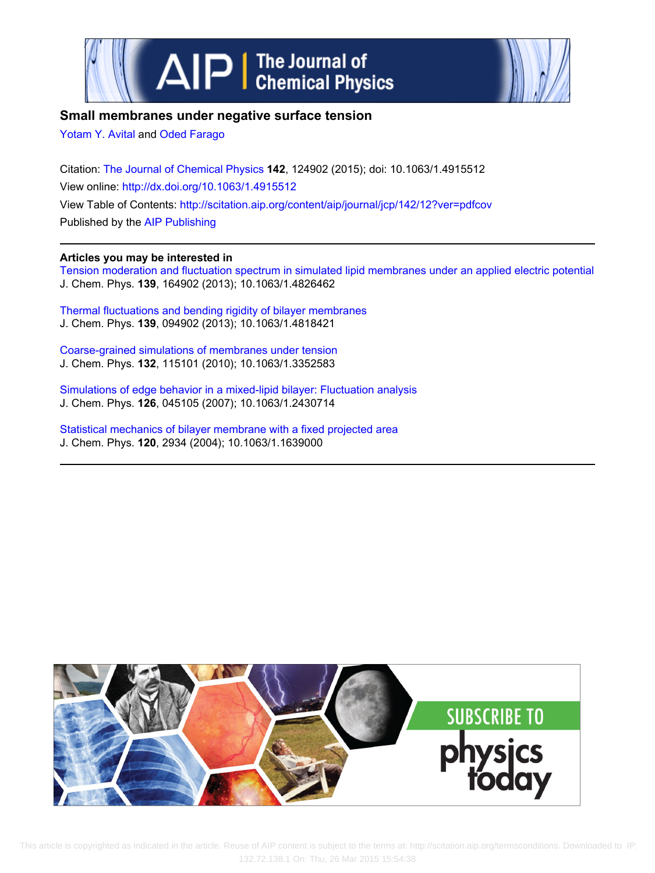



# **Small membranes under negative surface tension**

[Yotam Y. Avital](http://scitation.aip.org/search?value1=Yotam+Y.+Avital&option1=author) and [Oded Farago](http://scitation.aip.org/search?value1=Oded+Farago&option1=author)

Citation: [The Journal of Chemical Physics](http://scitation.aip.org/content/aip/journal/jcp?ver=pdfcov) **142**, 124902 (2015); doi: 10.1063/1.4915512 View online: <http://dx.doi.org/10.1063/1.4915512> View Table of Contents:<http://scitation.aip.org/content/aip/journal/jcp/142/12?ver=pdfcov> Published by the [AIP Publishing](http://scitation.aip.org/content/aip?ver=pdfcov)

## **Articles you may be interested in**

[Tension moderation and fluctuation spectrum in simulated lipid membranes under an applied electric potential](http://scitation.aip.org/content/aip/journal/jcp/139/16/10.1063/1.4826462?ver=pdfcov) J. Chem. Phys. **139**, 164902 (2013); 10.1063/1.4826462

[Thermal fluctuations and bending rigidity of bilayer membranes](http://scitation.aip.org/content/aip/journal/jcp/139/9/10.1063/1.4818421?ver=pdfcov) J. Chem. Phys. **139**, 094902 (2013); 10.1063/1.4818421

[Coarse-grained simulations of membranes under tension](http://scitation.aip.org/content/aip/journal/jcp/132/11/10.1063/1.3352583?ver=pdfcov) J. Chem. Phys. **132**, 115101 (2010); 10.1063/1.3352583

[Simulations of edge behavior in a mixed-lipid bilayer: Fluctuation analysis](http://scitation.aip.org/content/aip/journal/jcp/126/4/10.1063/1.2430714?ver=pdfcov) J. Chem. Phys. **126**, 045105 (2007); 10.1063/1.2430714

[Statistical mechanics of bilayer membrane with a fixed projected area](http://scitation.aip.org/content/aip/journal/jcp/120/6/10.1063/1.1639000?ver=pdfcov) J. Chem. Phys. **120**, 2934 (2004); 10.1063/1.1639000



 This article is copyrighted as indicated in the article. Reuse of AIP content is subject to the terms at: http://scitation.aip.org/termsconditions. Downloaded to IP: 132.72.138.1 On: Thu, 26 Mar 2015 15:54:38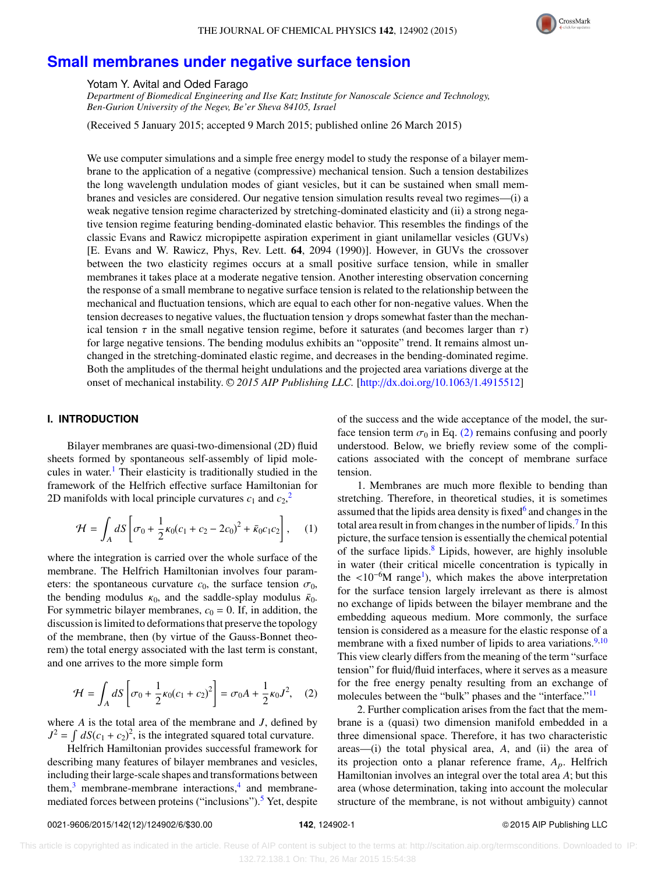

## **[Small membranes under negative surface tension](http://dx.doi.org/10.1063/1.4915512)**

Yotam Y. Avital and Oded Farago

*Department of Biomedical Engineering and Ilse Katz Institute for Nanoscale Science and Technology, Ben-Gurion University of the Negev, Be'er Sheva 84105, Israel*

(Received 5 January 2015; accepted 9 March 2015; published online 26 March 2015)

We use computer simulations and a simple free energy model to study the response of a bilayer membrane to the application of a negative (compressive) mechanical tension. Such a tension destabilizes the long wavelength undulation modes of giant vesicles, but it can be sustained when small membranes and vesicles are considered. Our negative tension simulation results reveal two regimes—(i) a weak negative tension regime characterized by stretching-dominated elasticity and (ii) a strong negative tension regime featuring bending-dominated elastic behavior. This resembles the findings of the classic Evans and Rawicz micropipette aspiration experiment in giant unilamellar vesicles (GUVs) [E. Evans and W. Rawicz, Phys, Rev. Lett. 64, 2094 (1990)]. However, in GUVs the crossover between the two elasticity regimes occurs at a small positive surface tension, while in smaller membranes it takes place at a moderate negative tension. Another interesting observation concerning the response of a small membrane to negative surface tension is related to the relationship between the mechanical and fluctuation tensions, which are equal to each other for non-negative values. When the tension decreases to negative values, the fluctuation tension  $\gamma$  drops somewhat faster than the mechanical tension  $\tau$  in the small negative tension regime, before it saturates (and becomes larger than  $\tau$ ) for large negative tensions. The bending modulus exhibits an "opposite" trend. It remains almost unchanged in the stretching-dominated elastic regime, and decreases in the bending-dominated regime. Both the amplitudes of the thermal height undulations and the projected area variations diverge at the onset of mechanical instability. <sup>C</sup> *2015 AIP Publishing LLC.* [\[http:](http://dx.doi.org/10.1063/1.4915512)//[dx.doi.org](http://dx.doi.org/10.1063/1.4915512)/[10.1063](http://dx.doi.org/10.1063/1.4915512)/[1.4915512\]](http://dx.doi.org/10.1063/1.4915512)

## **I. INTRODUCTION**

Bilayer membranes are quasi-two-dimensional (2D) fluid sheets formed by spontaneous self-assembly of lipid mole-cules in water.<sup>[1](#page-6-0)</sup> Their elasticity is traditionally studied in the framework of the Helfrich effective surface Hamiltonian for [2](#page-6-1)D manifolds with local principle curvatures  $c_1$  and  $c_2$ ,<sup>2</sup>

$$
\mathcal{H} = \int_{A} dS \left[ \sigma_0 + \frac{1}{2} \kappa_0 (c_1 + c_2 - 2c_0)^2 + \bar{\kappa}_0 c_1 c_2 \right], \quad (1)
$$

where the integration is carried over the whole surface of the membrane. The Helfrich Hamiltonian involves four parameters: the spontaneous curvature  $c_0$ , the surface tension  $\sigma_0$ , the bending modulus  $\kappa_0$ , and the saddle-splay modulus  $\bar{\kappa}_0$ . For symmetric bilayer membranes,  $c_0 = 0$ . If, in addition, the discussion is limited to deformations that preserve the topology of the membrane, then (by virtue of the Gauss-Bonnet theorem) the total energy associated with the last term is constant, and one arrives to the more simple form

$$
\mathcal{H} = \int_{A} dS \left[ \sigma_0 + \frac{1}{2} \kappa_0 (c_1 + c_2)^2 \right] = \sigma_0 A + \frac{1}{2} \kappa_0 J^2, \quad (2)
$$

where *A* is the total area of the membrane and *J*, defined by  $J^2 = \int dS(c_1 + c_2)^2$ , is the integrated squared total curvature.

Helfrich Hamiltonian provides successful framework for describing many features of bilayer membranes and vesicles, including their large-scale shapes and transformations between them,<sup>[3](#page-6-2)</sup> membrane-membrane interactions,<sup>[4](#page-6-3)</sup> and membrane-mediated forces between proteins ("inclusions").<sup>[5](#page-6-4)</sup> Yet, despite of the success and the wide acceptance of the model, the surface tension term  $\sigma_0$  in Eq. [\(2\)](#page-1-0) remains confusing and poorly understood. Below, we briefly review some of the complications associated with the concept of membrane surface tension.

1. Membranes are much more flexible to bending than stretching. Therefore, in theoretical studies, it is sometimes assumed that the lipids area density is fixed<sup>[6](#page-6-5)</sup> and changes in the total area result in from changes in the number of lipids.<sup>[7](#page-6-6)</sup> In this picture, the surface tension is essentially the chemical potential of the surface lipids.<sup>[8](#page-6-7)</sup> Lipids, however, are highly insoluble in water (their critical micelle concentration is typically in the  $\lt 10^{-6}$  $\lt 10^{-6}$  $\lt 10^{-6}$ M range<sup>1</sup>), which makes the above interpretation<br>for the surface tension largely irrelevant as there is almost for the surface tension largely irrelevant as there is almost no exchange of lipids between the bilayer membrane and the embedding aqueous medium. More commonly, the surface tension is considered as a measure for the elastic response of a membrane with a fixed number of lipids to area variations. $9,10$  $9,10$ This view clearly differs from the meaning of the term "surface tension" for fluid/fluid interfaces, where it serves as a measure for the free energy penalty resulting from an exchange of molecules between the "bulk" phases and the "interface."<sup>[11](#page-6-10)</sup>

<span id="page-1-0"></span>2. Further complication arises from the fact that the membrane is a (quasi) two dimension manifold embedded in a three dimensional space. Therefore, it has two characteristic areas—(i) the total physical area, *A*, and (ii) the area of its projection onto a planar reference frame, *A*p. Helfrich Hamiltonian involves an integral over the total area *A*; but this area (whose determination, taking into account the molecular structure of the membrane, is not without ambiguity) cannot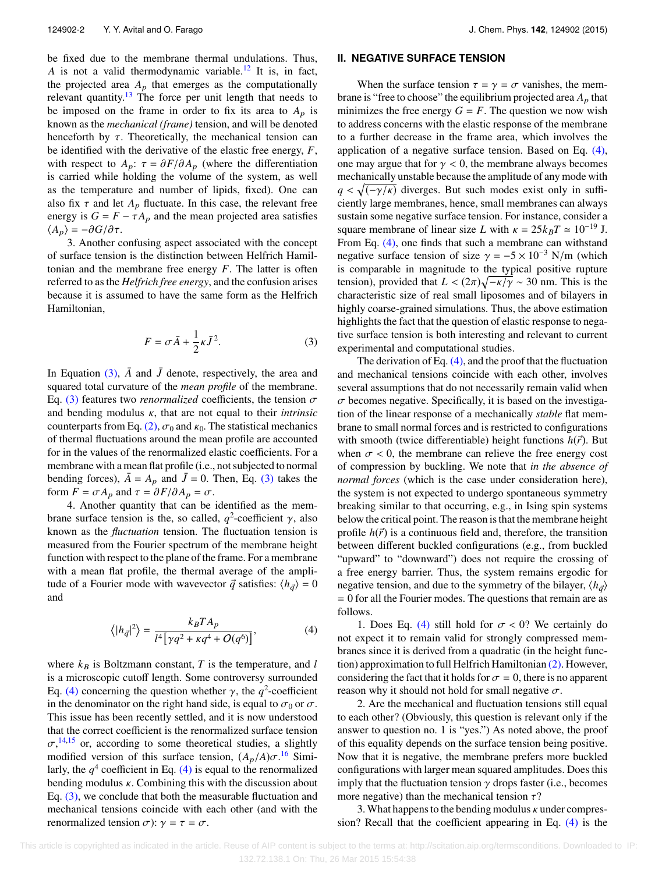be fixed due to the membrane thermal undulations. Thus, *A* is not a valid thermodynamic variable.<sup>[12](#page-6-11)</sup> It is, in fact, the projected area  $A_p$  that emerges as the computationally relevant quantity.[13](#page-6-12) The force per unit length that needs to be imposed on the frame in order to fix its area to  $A_p$  is known as the *mechanical (frame)* tension, and will be denoted henceforth by  $\tau$ . Theoretically, the mechanical tension can be identified with the derivative of the elastic free energy, *F*, with respect to  $A_p$ :  $\tau = \partial F / \partial A_p$  (where the differentiation is carried while holding the volume of the system, as well as the temperature and number of lipids, fixed). One can also fix  $\tau$  and let  $A_p$  fluctuate. In this case, the relevant free energy is  $G = F - \tau A_p$  and the mean projected area satisfies  $\langle A_p \rangle = -\partial G/\partial \tau$ .

3. Another confusing aspect associated with the concept of surface tension is the distinction between Helfrich Hamiltonian and the membrane free energy *F*. The latter is often referred to as the *Helfrich free energy*, and the confusion arises because it is assumed to have the same form as the Helfrich Hamiltonian,

$$
F = \sigma \bar{A} + \frac{1}{2} \kappa \bar{J}^2.
$$
 (3)

In Equation  $(3)$ ,  $\overline{A}$  and  $\overline{J}$  denote, respectively, the area and squared total curvature of the *mean profile* of the membrane. Eq. [\(3\)](#page-2-0) features two *renormalized* coefficients, the tension  $\sigma$ and bending modulus κ, that are not equal to their *intrinsic* counterparts from Eq. [\(2\),](#page-1-0)  $\sigma_0$  and  $\kappa_0$ . The statistical mechanics of thermal fluctuations around the mean profile are accounted for in the values of the renormalized elastic coefficients. For a membrane with a mean flat profile (i.e., not subjected to normal bending forces),  $\bar{A} = A_p$  and  $\bar{J} = 0$ . Then, Eq. [\(3\)](#page-2-0) takes the form  $F = \sigma A_p$  and  $\tau = \partial F / \partial A_p = \sigma$ .

4. Another quantity that can be identified as the membrane surface tension is the, so called,  $q^2$ -coefficient γ, also known as the *fluctuation* tension. The fluctuation tension is known as the *fluctuation* tension. The fluctuation tension is measured from the Fourier spectrum of the membrane height function with respect to the plane of the frame. For a membrane with a mean flat profile, the thermal average of the amplitude of a Fourier mode with wavevector  $\vec{q}$  satisfies:  $\langle h_{\vec{q}} \rangle = 0$ and

$$
\langle |h_{\vec{q}}|^2 \rangle = \frac{k_B T A_p}{l^4 \left[ \gamma q^2 + \kappa q^4 + O(q^6) \right]},\tag{4}
$$

where  $k_B$  is Boltzmann constant,  $T$  is the temperature, and  $l$ is a microscopic cutoff length. Some controversy surrounded Eq. [\(4\)](#page-2-1) concerning the question whether  $\gamma$ , the  $q^2$ -coefficient<br>in the denominator on the right hand side, is equal to  $\sigma_0$  or  $\sigma$ . in the denominator on the right hand side, is equal to  $\sigma_0$  or  $\sigma$ . This issue has been recently settled, and it is now understood that the correct coefficient is the renormalized surface tension  $\sigma$ ,<sup>[14](#page-6-13)[,15](#page-6-14)</sup> or, according to some theoretical studies, a slightly modified version of this surface tension (4, /4) $\sigma$ <sup>16</sup> Simimodified version of this surface tension,  $(A_p/A)\sigma^{16}$  $(A_p/A)\sigma^{16}$  $(A_p/A)\sigma^{16}$  Simi-<br>larly the  $\sigma^4$  coefficient in Eq. (A) is equal to the renormalized larly, the  $q<sup>4</sup>$  coefficient in Eq. [\(4\)](#page-2-1) is equal to the renormalized bending modulus  $\kappa$ . Combining this with the discussion about Eq. [\(3\),](#page-2-0) we conclude that both the measurable fluctuation and mechanical tensions coincide with each other (and with the renormalized tension  $\sigma$ ):  $\gamma = \tau = \sigma$ .

#### <span id="page-2-2"></span>**II. NEGATIVE SURFACE TENSION**

When the surface tension  $\tau = \gamma = \sigma$  vanishes, the membrane is "free to choose" the equilibrium projected area  $A<sub>p</sub>$  that minimizes the free energy  $G = F$ . The question we now wish to address concerns with the elastic response of the membrane to a further decrease in the frame area, which involves the application of a negative surface tension. Based on Eq. [\(4\),](#page-2-1) one may argue that for  $\gamma$  < 0, the membrane always becomes mechanically unstable because the amplitude of any mode with  $q < \sqrt{(-\gamma/\kappa)}$  diverges. But such modes exist only in suffi-<br>ciently large membranes, hence small membranes can always ciently large membranes, hence, small membranes can always sustain some negative surface tension. For instance, consider a square membrane of linear size *L* with  $\kappa = 25k_BT \approx 10^{-19}$  J. From Eq. [\(4\),](#page-2-1) one finds that such a membrane can withstand negative surface tension of size  $\gamma = -5 \times 10^{-3}$  N/m (which is comparable in magnitude to the typical positive rupture tension), provided that  $L < (2\pi)\sqrt{-\kappa/\gamma} \sim 30$  nm. This is the characteristic size of real small liposomes and of bilayers in characteristic size of real small liposomes and of bilayers in highly coarse-grained simulations. Thus, the above estimation highlights the fact that the question of elastic response to negative surface tension is both interesting and relevant to current experimental and computational studies.

<span id="page-2-0"></span>The derivation of Eq.  $(4)$ , and the proof that the fluctuation and mechanical tensions coincide with each other, involves several assumptions that do not necessarily remain valid when  $\sigma$  becomes negative. Specifically, it is based on the investigation of the linear response of a mechanically *stable* flat membrane to small normal forces and is restricted to configurations with smooth (twice differentiable) height functions  $h(\vec{r})$ . But when  $\sigma$  < 0, the membrane can relieve the free energy cost of compression by buckling. We note that *in the absence of normal forces* (which is the case under consideration here), the system is not expected to undergo spontaneous symmetry breaking similar to that occurring, e.g., in Ising spin systems below the critical point. The reason is that the membrane height profile  $h(\vec{r})$  is a continuous field and, therefore, the transition between different buckled configurations (e.g., from buckled "upward" to "downward") does not require the crossing of a free energy barrier. Thus, the system remains ergodic for negative tension, and due to the symmetry of the bilayer,  $\langle h_{\vec{q}} \rangle$ = 0 for all the Fourier modes. The questions that remain are as follows.

<span id="page-2-1"></span>1. Does Eq. [\(4\)](#page-2-1) still hold for  $\sigma < 0$ ? We certainly do not expect it to remain valid for strongly compressed membranes since it is derived from a quadratic (in the height function) approximation to full Helfrich Hamiltonian [\(2\).](#page-1-0) However, considering the fact that it holds for  $\sigma = 0$ , there is no apparent reason why it should not hold for small negative  $\sigma$ .

2. Are the mechanical and fluctuation tensions still equal to each other? (Obviously, this question is relevant only if the answer to question no. 1 is "yes.") As noted above, the proof of this equality depends on the surface tension being positive. Now that it is negative, the membrane prefers more buckled configurations with larger mean squared amplitudes. Does this imply that the fluctuation tension  $\gamma$  drops faster (i.e., becomes more negative) than the mechanical tension  $\tau$ ?

3. What happens to the bending modulus  $\kappa$  under compression? Recall that the coefficient appearing in Eq. [\(4\)](#page-2-1) is the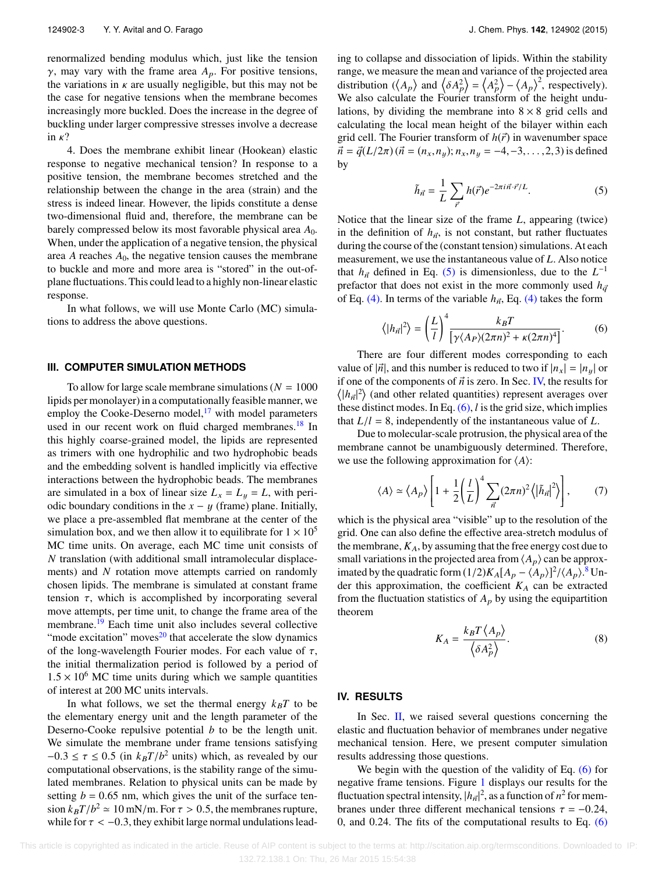renormalized bending modulus which, just like the tension γ, may vary with the frame area *<sup>A</sup>*p. For positive tensions, the variations in  $\kappa$  are usually negligible, but this may not be the case for negative tensions when the membrane becomes increasingly more buckled. Does the increase in the degree of buckling under larger compressive stresses involve a decrease in  $\kappa$ ?

4. Does the membrane exhibit linear (Hookean) elastic response to negative mechanical tension? In response to a positive tension, the membrane becomes stretched and the relationship between the change in the area (strain) and the stress is indeed linear. However, the lipids constitute a dense two-dimensional fluid and, therefore, the membrane can be barely compressed below its most favorable physical area *A*0. When, under the application of a negative tension, the physical area *A* reaches *A*0, the negative tension causes the membrane to buckle and more and more area is "stored" in the out-ofplane fluctuations. This could lead to a highly non-linear elastic response.

In what follows, we will use Monte Carlo (MC) simulations to address the above questions.

#### **III. COMPUTER SIMULATION METHODS**

To allow for large scale membrane simulations ( $N = 1000$ lipids per monolayer) in a computationally feasible manner, we employ the Cooke-Deserno model, $17$  with model parameters used in our recent work on fluid charged membranes.<sup>[18](#page-6-17)</sup> In this highly coarse-grained model, the lipids are represented as trimers with one hydrophilic and two hydrophobic beads and the embedding solvent is handled implicitly via effective interactions between the hydrophobic beads. The membranes are simulated in a box of linear size  $L_x = L_y = L$ , with periodic boundary conditions in the  $x - y$  (frame) plane. Initially, we place a pre-assembled flat membrane at the center of the simulation box, and we then allow it to equilibrate for  $1 \times 10^5$ MC time units. On average, each MC time unit consists of *N* translation (with additional small intramolecular displacements) and *N* rotation move attempts carried on randomly chosen lipids. The membrane is simulated at constant frame tension  $\tau$ , which is accomplished by incorporating several move attempts, per time unit, to change the frame area of the membrane.[19](#page-6-18) Each time unit also includes several collective "mode excitation" moves $^{20}$  $^{20}$  $^{20}$  that accelerate the slow dynamics of the long-wavelength Fourier modes. For each value of  $\tau$ , the initial thermalization period is followed by a period of  $1.5 \times 10^6$  MC time units during which we sample quantities of interest at 200 MC units intervals.

In what follows, we set the thermal energy  $k_B T$  to be the elementary energy unit and the length parameter of the Deserno-Cooke repulsive potential *b* to be the length unit. We simulate the membrane under frame tensions satisfying  $-0.3 \le \tau \le 0.5$  (in  $k_B T/b^2$  units) which, as revealed by our computational observations is the stability range of the simucomputational observations, is the stability range of the simulated membranes. Relation to physical units can be made by setting  $b = 0.65$  nm, which gives the unit of the surface tension  $k_B T/b^2 \approx 10 \text{ mN/m}$ . For  $\tau > 0.5$ , the membranes rupture,<br>while for  $\tau < -0.3$ , they exhibit large normal undulations leadwhile for  $\tau < -0.3$ , they exhibit large normal undulations leading to collapse and dissociation of lipids. Within the stability range, we measure the mean and variance of the projected area<br>distribution  $((A \cap rad / 5.42) - (A2) / (A))^2$  reconortively) range, we mea<br>distribution ( $\langle$  $A_p$  and  $\langle \delta A_p^2 \rangle = \langle A_p^2 \rangle - \langle A_p \rangle^2$ , respectively). We also calculate the Fourier transform of the height undulations, by dividing the membrane into  $8 \times 8$  grid cells and calculating the local mean height of the bilayer within each grid cell. The Fourier transform of  $h(\vec{r})$  in wavenumber space  $\vec{n} = \vec{q}(L/2\pi)(\vec{n} = (n_x, n_y); n_x, n_y = -4, -3, \dots, 2, 3)$  is defined by

<span id="page-3-0"></span>
$$
\tilde{h}_{\vec{n}} = \frac{1}{L} \sum_{\vec{r}} h(\vec{r}) e^{-2\pi i \vec{n} \cdot \vec{r}/L}.
$$
 (5)

Notice that the linear size of the frame *L*, appearing (twice) in the definition of  $h_{\vec{n}}$ , is not constant, but rather fluctuates during the course of the (constant tension) simulations. At each measurement, we use the instantaneous value of *L*. Also notice that  $h_{\vec{n}}$  defined in Eq. [\(5\)](#page-3-0) is dimensionless, due to the  $L^{-1}$ <br>profector that does not ovist in the more commonly used *b* prefactor that does not exist in the more commonly used  $h_{\vec{q}}$ of Eq. [\(4\).](#page-2-1) In terms of the variable  $h_{\vec{n}}$ , Eq. [\(4\)](#page-2-1) takes the form

<span id="page-3-2"></span>
$$
\langle |h_{\vec{n}}|^2 \rangle = \left(\frac{L}{l}\right)^4 \frac{k_B T}{\left[\gamma \langle A_P \rangle (2\pi n)^2 + \kappa (2\pi n)^4\right]}.
$$
 (6)

There are four different modes corresponding to each value of  $|\vec{n}|$ , and this number is reduced to two if  $|n_x| = |n_y|$  or if one of the components of  $\vec{n}$  is zero. In Sec. [IV,](#page-3-1) the results for  $|h_{\vec{n}}|^2$  (and other related quantities) represent averages over<br>hese distinct modes. In Eq. (6) Lie the grid size, which implies these distinct modes. In Eq. [\(6\),](#page-3-2) *l* is the grid size, which implies that  $L/l = 8$ , independently of the instantaneous value of  $L$ .

Due to molecular-scale protrusion, the physical area of the membrane cannot be unambiguously determined. Therefore, we use the following approximation for  $\langle A \rangle$ :

$$
\langle A \rangle \simeq \langle A_p \rangle \left[ 1 + \frac{1}{2} \left( \frac{l}{L} \right)^4 \sum_{\vec{n}} (2\pi n)^2 \langle |\tilde{h}_{\vec{n}}|^2 \rangle \right],\tag{7}
$$

which is the physical area "visible" up to the resolution of the grid. One can also define the effective area-stretch modulus of the membrane,  $K_A$ , by assuming that the free energy cost due to small variations in the projected area from  $\langle A_p \rangle$  can be approximated by the quadratic form  $(1/2)K_A[A_p - (A_p)]^2/(A_p)^8$  $(1/2)K_A[A_p - (A_p)]^2/(A_p)^8$  Un-<br>der this approximation, the coefficient K<sub>b</sub>, can be extracted der this approximation, the coefficient  $K_A$  can be extracted from the fluctuation statistics of  $A_p$  by using the equipartition theorem  $\overline{a}$  $\mathbf{r}$ 

<span id="page-3-4"></span><span id="page-3-3"></span>
$$
K_A = \frac{k_B T \langle A_p \rangle}{\langle \delta A_p^2 \rangle}.
$$
 (8)

## <span id="page-3-1"></span>**IV. RESULTS**

In Sec.  $II$ , we raised several questions concerning the elastic and fluctuation behavior of membranes under negative mechanical tension. Here, we present computer simulation results addressing those questions.

We begin with the question of the validity of Eq. [\(6\)](#page-3-2) for negative frame tensions. Figure [1](#page-4-0) displays our results for the fluctuation spectral intensity,  $|h_{\vec{n}}|^2$ , as a function of  $n^2$  for mem-<br>hence we der three different mechanical tensions  $\tau = 0.24$ . branes under three different mechanical tensions  $\tau = -0.24$ , 0, and 0.24. The fits of the computational results to Eq.  $(6)$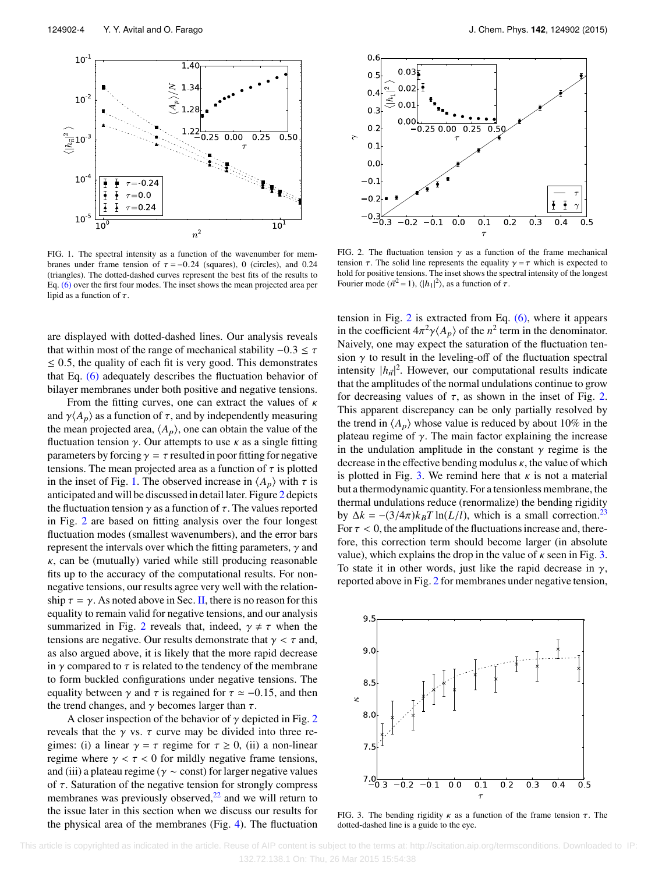<span id="page-4-0"></span>

FIG. 1. The spectral intensity as a function of the wavenumber for membranes under frame tension of  $\tau = -0.24$  (squares), 0 (circles), and 0.24 (triangles). The dotted-dashed curves represent the best fits of the results to Eq. [\(6\)](#page-3-2) over the first four modes. The inset shows the mean projected area per lipid as a function of  $\tau$ .

are displayed with dotted-dashed lines. Our analysis reveals that within most of the range of mechanical stability  $-0.3 \le \tau$  $\leq$  0.5, the quality of each fit is very good. This demonstrates that Eq. [\(6\)](#page-3-2) adequately describes the fluctuation behavior of bilayer membranes under both positive and negative tensions.

From the fitting curves, one can extract the values of  $\kappa$ and  $\gamma \langle A_p \rangle$  as a function of  $\tau$ , and by independently measuring the mean projected area,  $\langle A_p \rangle$ , one can obtain the value of the fluctuation tension  $\gamma$ . Our attempts to use  $\kappa$  as a single fitting parameters by forcing  $\gamma = \tau$  resulted in poor fitting for negative tensions. The mean projected area as a function of  $\tau$  is plotted in the inset of Fig. [1.](#page-4-0) The observed increase in  $\langle A_p \rangle$  with  $\tau$  is anticipated and will be discussed in detail later. Figure [2](#page-4-1) depicts the fluctuation tension  $\gamma$  as a function of  $\tau$ . The values reported in Fig. [2](#page-4-1) are based on fitting analysis over the four longest fluctuation modes (smallest wavenumbers), and the error bars represent the intervals over which the fitting parameters,  $\gamma$  and  $\kappa$ , can be (mutually) varied while still producing reasonable fits up to the accuracy of the computational results. For nonnegative tensions, our results agree very well with the relationship  $\tau = \gamma$ . As noted above in Sec. [II,](#page-2-2) there is no reason for this equality to remain valid for negative tensions, and our analysis summarized in Fig. [2](#page-4-1) reveals that, indeed,  $\gamma \neq \tau$  when the tensions are negative. Our results demonstrate that  $\gamma < \tau$  and, as also argued above, it is likely that the more rapid decrease in  $\gamma$  compared to  $\tau$  is related to the tendency of the membrane to form buckled configurations under negative tensions. The equality between  $\gamma$  and  $\tau$  is regained for  $\tau \simeq -0.15$ , and then the trend changes, and  $\gamma$  becomes larger than  $\tau$ .

A closer inspection of the behavior of  $\gamma$  depicted in Fig. [2](#page-4-1) reveals that the  $\gamma$  vs.  $\tau$  curve may be divided into three regimes: (i) a linear  $\gamma = \tau$  regime for  $\tau \ge 0$ , (ii) a non-linear regime where  $\gamma < \tau < 0$  for mildly negative frame tensions, and (iii) a plateau regime ( $\gamma \sim$  const) for larger negative values of  $\tau$ . Saturation of the negative tension for strongly compress membranes was previously observed, $2<sup>2</sup>$  and we will return to the issue later in this section when we discuss our results for the physical area of the membranes (Fig. [4\)](#page-5-0). The fluctuation

<span id="page-4-1"></span>

FIG. 2. The fluctuation tension  $\gamma$  as a function of the frame mechanical tension  $\tau$ . The solid line represents the equality  $\gamma = \tau$  which is expected to hold for positive tensions. The inset shows the spectral intensity of the longest Fourier mode  $(\vec{n}^2 = 1)$ ,  $\langle |h_1|^2 \rangle$ , as a function of  $\tau$ .

tension in Fig.  $2$  is extracted from Eq.  $(6)$ , where it appears in the coefficient  $4\pi^2 \gamma \langle A_p \rangle$  of the  $n^2$  term in the denominator.<br>Naively, one may expect the saturation of the fluctuation ten-Naively, one may expect the saturation of the fluctuation tension  $\gamma$  to result in the leveling-off of the fluctuation spectral intensity  $|h_{\vec{n}}|^2$ . However, our computational results indicate that the amplitudes of the normal undulations continue to grow for decreasing values of  $\tau$ , as shown in the inset of Fig. [2.](#page-4-1) This apparent discrepancy can be only partially resolved by the trend in  $\langle A_p \rangle$  whose value is reduced by about 10% in the plateau regime of  $\gamma$ . The main factor explaining the increase in the undulation amplitude in the constant  $\gamma$  regime is the decrease in the effective bending modulus  $\kappa$ , the value of which is plotted in Fig. [3.](#page-4-2) We remind here that  $\kappa$  is not a material but a thermodynamic quantity. For a tensionless membrane, the thermal undulations reduce (renormalize) the bending rigidity by  $\Delta k = -(3/4\pi)k_BT \ln(L/l)$ , which is a small correction.<sup>[23](#page-6-21)</sup> For  $\tau$  < 0, the amplitude of the fluctuations increase and, therefore, this correction term should become larger (in absolute value), which explains the drop in the value of  $\kappa$  seen in Fig. [3.](#page-4-2) To state it in other words, just like the rapid decrease in  $\gamma$ , reported above in Fig. [2](#page-4-1) for membranes under negative tension,

<span id="page-4-2"></span>

FIG. 3. The bending rigidity  $\kappa$  as a function of the frame tension  $\tau$ . The dotted-dashed line is a guide to the eye.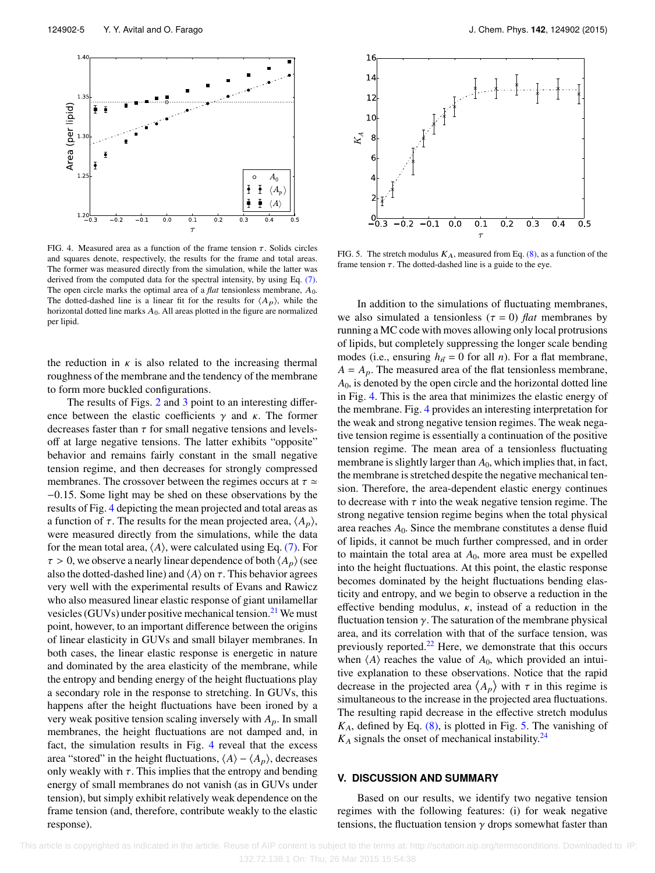<span id="page-5-0"></span>

FIG. 4. Measured area as a function of the frame tension  $\tau$ . Solids circles and squares denote, respectively, the results for the frame and total areas. The former was measured directly from the simulation, while the latter was derived from the computed data for the spectral intensity, by using Eq. [\(7\).](#page-3-3) The open circle marks the optimal area of a *flat* tensionless membrane,  $A_0$ . The dotted-dashed line is a linear fit for the results for  $\langle A_p \rangle$ , while the horizontal dotted line marks  $A_0$ . All areas plotted in the figure are normalized per lipid.

the reduction in  $\kappa$  is also related to the increasing thermal roughness of the membrane and the tendency of the membrane to form more buckled configurations.

The results of Figs. [2](#page-4-1) and [3](#page-4-2) point to an interesting difference between the elastic coefficients  $\gamma$  and  $\kappa$ . The former decreases faster than  $\tau$  for small negative tensions and levelsoff at large negative tensions. The latter exhibits "opposite" behavior and remains fairly constant in the small negative tension regime, and then decreases for strongly compressed membranes. The crossover between the regimes occurs at  $\tau \simeq$ <sup>−</sup>0.15. Some light may be shed on these observations by the results of Fig. [4](#page-5-0) depicting the mean projected and total areas as a function of  $τ$ . The results for the mean projected area,  $\langle A_p \rangle$ , were measured directly from the simulations, while the data for the mean total area,  $\langle A \rangle$ , were calculated using Eq. [\(7\).](#page-3-3) For  $\tau > 0$ , we observe a nearly linear dependence of both  $\langle A_p \rangle$  (see also the dotted-dashed line) and  $\langle A \rangle$  on  $\tau$ . This behavior agrees very well with the experimental results of Evans and Rawicz who also measured linear elastic response of giant unilamellar vesicles (GUVs) under positive mechanical tension.<sup>[21](#page-6-22)</sup> We must point, however, to an important difference between the origins of linear elasticity in GUVs and small bilayer membranes. In both cases, the linear elastic response is energetic in nature and dominated by the area elasticity of the membrane, while the entropy and bending energy of the height fluctuations play a secondary role in the response to stretching. In GUVs, this happens after the height fluctuations have been ironed by a very weak positive tension scaling inversely with  $A_p$ . In small membranes, the height fluctuations are not damped and, in fact, the simulation results in Fig. [4](#page-5-0) reveal that the excess area "stored" in the height fluctuations,  $\langle A \rangle - \langle A_p \rangle$ , decreases only weakly with  $\tau$ . This implies that the entropy and bending energy of small membranes do not vanish (as in GUVs under tension), but simply exhibit relatively weak dependence on the frame tension (and, therefore, contribute weakly to the elastic response).

<span id="page-5-1"></span>

FIG. 5. The stretch modulus  $K_A$ , measured from Eq. [\(8\),](#page-3-4) as a function of the frame tension  $\tau$ . The dotted-dashed line is a guide to the eye.

In addition to the simulations of fluctuating membranes, we also simulated a tensionless ( $\tau = 0$ ) *flat* membranes by running a MC code with moves allowing only local protrusions of lipids, but completely suppressing the longer scale bending modes (i.e., ensuring  $h_{\vec{n}} = 0$  for all *n*). For a flat membrane,  $A = A_p$ . The measured area of the flat tensionless membrane, *A*0, is denoted by the open circle and the horizontal dotted line in Fig. [4.](#page-5-0) This is the area that minimizes the elastic energy of the membrane. Fig. [4](#page-5-0) provides an interesting interpretation for the weak and strong negative tension regimes. The weak negative tension regime is essentially a continuation of the positive tension regime. The mean area of a tensionless fluctuating membrane is slightly larger than  $A_0$ , which implies that, in fact, the membrane is stretched despite the negative mechanical tension. Therefore, the area-dependent elastic energy continues to decrease with  $\tau$  into the weak negative tension regime. The strong negative tension regime begins when the total physical area reaches  $A_0$ . Since the membrane constitutes a dense fluid of lipids, it cannot be much further compressed, and in order to maintain the total area at *A*0, more area must be expelled into the height fluctuations. At this point, the elastic response becomes dominated by the height fluctuations bending elasticity and entropy, and we begin to observe a reduction in the effective bending modulus,  $\kappa$ , instead of a reduction in the fluctuation tension  $\gamma$ . The saturation of the membrane physical area, and its correlation with that of the surface tension, was previously reported. $22$  Here, we demonstrate that this occurs when  $\langle A \rangle$  reaches the value of  $A_0$ , which provided an intuitive explanation to these observations. Notice that the rapid tive explanation to these observ<br>decrease in the projected area  $\langle$  $A_p$ ) with  $\tau$  in this regime is simultaneous to the increase in the projected area fluctuations. The resulting rapid decrease in the effective stretch modulus *K*A, defined by Eq. [\(8\),](#page-3-4) is plotted in Fig. [5.](#page-5-1) The vanishing of  $K_A$  signals the onset of mechanical instability.<sup>[24](#page-6-23)</sup>

#### **V. DISCUSSION AND SUMMARY**

Based on our results, we identify two negative tension regimes with the following features: (i) for weak negative tensions, the fluctuation tension  $\gamma$  drops somewhat faster than